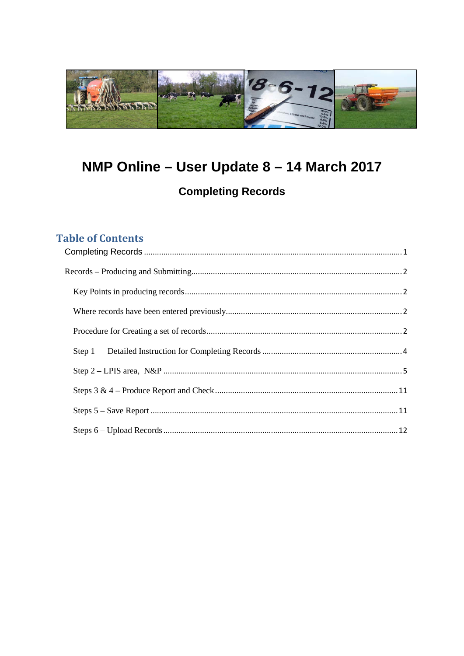

# <span id="page-0-0"></span>NMP Online - User Update 8 - 14 March 2017

# **Completing Records**

# **Table of Contents**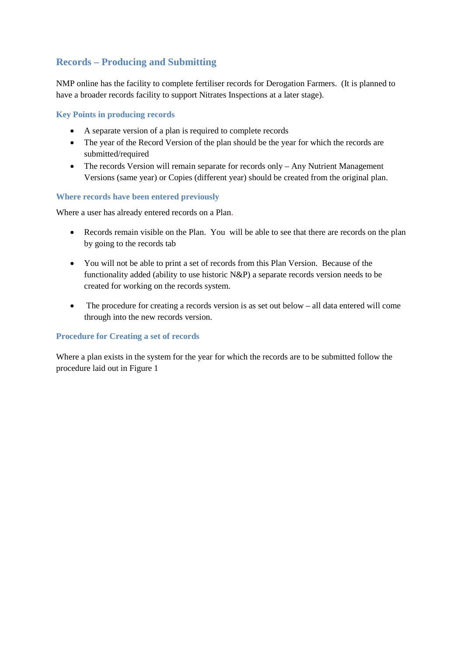# <span id="page-1-0"></span>**Records – Producing and Submitting**

NMP online has the facility to complete fertiliser records for Derogation Farmers. (It is planned to have a broader records facility to support Nitrates Inspections at a later stage).

## <span id="page-1-1"></span>**Key Points in producing records**

- A separate version of a plan is required to complete records
- The year of the Record Version of the plan should be the year for which the records are submitted/required
- The records Version will remain separate for records only Any Nutrient Management Versions (same year) or Copies (different year) should be created from the original plan.

### <span id="page-1-2"></span>**Where records have been entered previously**

Where a user has already entered records on a Plan.

- Records remain visible on the Plan. You will be able to see that there are records on the plan by going to the records tab
- You will not be able to print a set of records from this Plan Version. Because of the functionality added (ability to use historic N&P) a separate records version needs to be created for working on the records system.
- The procedure for creating a records version is as set out below all data entered will come through into the new records version.

### <span id="page-1-3"></span>**Procedure for Creating a set of records**

Where a plan exists in the system for the year for which the records are to be submitted follow the procedure laid out in Figure 1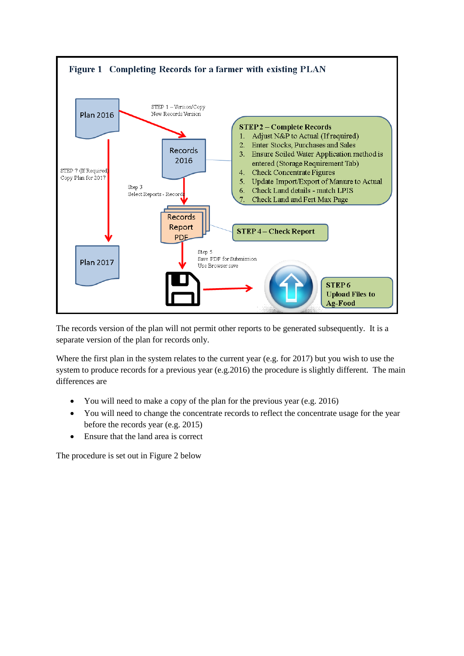

The records version of the plan will not permit other reports to be generated subsequently. It is a separate version of the plan for records only.

Where the first plan in the system relates to the current year (e.g. for 2017) but you wish to use the system to produce records for a previous year (e.g.2016) the procedure is slightly different. The main differences are

- You will need to make a copy of the plan for the previous year (e.g. 2016)
- You will need to change the concentrate records to reflect the concentrate usage for the year before the records year (e.g. 2015)
- Ensure that the land area is correct

The procedure is set out in Figure 2 below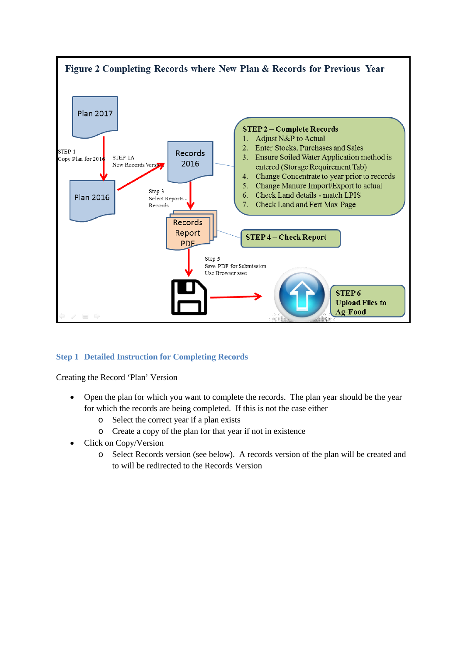

# <span id="page-3-0"></span>**Step 1 Detailed Instruction for Completing Records**

Creating the Record 'Plan' Version

- Open the plan for which you want to complete the records. The plan year should be the year for which the records are being completed. If this is not the case either
	- o Select the correct year if a plan exists
	- o Create a copy of the plan for that year if not in existence
- Click on Copy/Version
	- o Select Records version (see below). A records version of the plan will be created and to will be redirected to the Records Version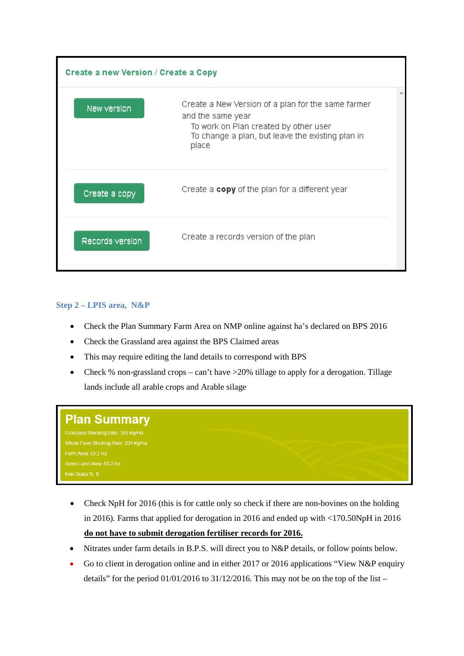

# <span id="page-4-0"></span>**Step 2 – LPIS area, N&P**

- Check the Plan Summary Farm Area on NMP online against ha's declared on BPS 2016
- Check the Grassland area against the BPS Claimed areas
- This may require editing the land details to correspond with BPS
- Check % non-grassland crops can't have >20% tillage to apply for a derogation. Tillage lands include all arable crops and Arable silage

# **Plan Summary** Grassland Stocking Rate: 209 Kg/Ha Whole Farm Stocking Rate: 209 Kg/Ha Farm Area: 63.2 Ha

- Check NpH for 2016 (this is for cattle only so check if there are non-bovines on the holding in 2016). Farms that applied for derogation in 2016 and ended up with <170.50NpH in 2016 **do not have to submit derogation fertiliser records for 2016.**
- Nitrates under farm details in B.P.S. will direct you to N&P details, or follow points below.
- Go to client in derogation online and in either 2017 or 2016 applications "View N&P enquiry" details" for the period  $01/01/2016$  to  $31/12/2016$ . This may not be on the top of the list –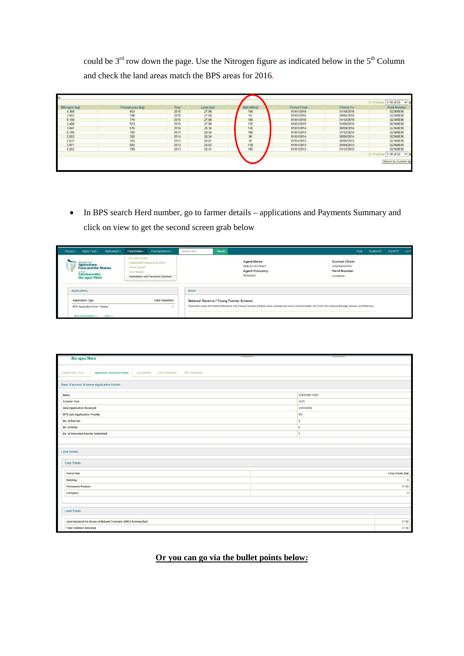could be  $3<sup>rd</sup>$  row down the page. Use the Nitrogen figure as indicated below in the  $5<sup>th</sup>$  Column and check the land areas match the BPS areas for 2016.

| Period From<br>Nph (N/ha)<br>Period To<br>Phosphorus (kg)<br>Year<br>Land (ha)<br>156<br>2015<br>27.98<br>01/01/2015<br>31/10/2015<br>653 | <b>Herd Number</b><br>G2360038 |
|-------------------------------------------------------------------------------------------------------------------------------------------|--------------------------------|
|                                                                                                                                           |                                |
| 390<br>27.98<br>93<br>2015<br>01/01/2015<br>30/06/2015                                                                                    | G2360038                       |
| 185<br>775<br>27.98<br>2015<br>01/01/2015<br>31/12/2015                                                                                   | G2360038                       |
| 523<br>125<br>27.98<br>2015<br>31/08/2015<br>01/01/2015                                                                                   | G2360038                       |
| 576<br>136<br>28.36<br>01/01/2014<br>30/09/2014<br>2014                                                                                   | G2360038                       |
| 765<br>28.36<br>180<br>2014<br>01/01/2014<br>31/12/2014                                                                                   | G2360038                       |
| 382<br>90<br>28.36<br>2014<br>01/01/2014<br>30/06/2014                                                                                    | G2360038                       |
| 393<br>92<br>28.61<br>2013<br>01/01/2013<br>30/06/2013                                                                                    | G2360038                       |
| 593<br>139<br>28.52<br>2013<br>01/01/2013<br>30/09/2013                                                                                   | G2360038                       |
| 786<br>185<br>28.41<br>2013<br>01/01/2013<br>31/12/2013                                                                                   | G2360038                       |
|                                                                                                                                           | 1-10 of 24<br>$\vee$           |

• In BPS search Herd number, go to farmer details – applications and Payments Summary and click on view to get the second screen grab below

| Home + | Agent Tools -                                                                                                    | Applications -                                                                                                                                                 | Farm Details .                                                                                                                                                                                | Correspondence + | Search Herd | Search                                                     |  |                                                                    |  | Help | Contact Us | <b>Exit BPS</b> | aga61 |
|--------|------------------------------------------------------------------------------------------------------------------|----------------------------------------------------------------------------------------------------------------------------------------------------------------|-----------------------------------------------------------------------------------------------------------------------------------------------------------------------------------------------|------------------|-------------|------------------------------------------------------------|--|--------------------------------------------------------------------|--|------|------------|-----------------|-------|
| V      | Agriculture,<br>Talmhaíochta,<br><b>Bla agus Mara</b>                                                            | Parsonal Details<br>Entitlement Position 2015-2019<br><b>Parcel Search</b><br><b>Food and the Marine</b><br>View Mitrates<br>Applications and Payments Summary |                                                                                                                                                                                               |                  |             | Agent Name:<br>SINEAD DEVANEY<br>Agent Company:<br>TEAGASC |  | <b>Current Client:</b><br>STEPHEN FAHY<br>Herd Number:<br>G2360038 |  |      |            |                 |       |
|        | Applications                                                                                                     |                                                                                                                                                                |                                                                                                                                                                                               |                  | <b>News</b> |                                                            |  |                                                                    |  |      |            |                 |       |
|        | A SAN A MARKET CHAT, THINK<br><b>Application Type</b><br><b>Total Submitted</b><br>BPS Application Form - Online |                                                                                                                                                                | National Reserve / Young Farmer Scheme<br>Payments under the National Reserve and Young Farmers Scheme have commenced since mid-December 2015 and will continue through January and February. |                  |             |                                                            |  |                                                                    |  |      |            |                 |       |
|        | New Amendment >>                                                                                                 | View >>                                                                                                                                                        |                                                                                                                                                                                               |                  |             |                                                            |  |                                                                    |  |      |            |                 |       |

| <b>COLOR</b><br>TERUPUL<br><b>Bia agus Mara</b>                                                | <b>DESNIVERY</b> |                              |  |  |  |  |
|------------------------------------------------------------------------------------------------|------------------|------------------------------|--|--|--|--|
|                                                                                                |                  |                              |  |  |  |  |
| Current Year: 2015<br>Application Summary Details<br>Land Details DPS Payments<br>ANC Payments |                  |                              |  |  |  |  |
|                                                                                                |                  |                              |  |  |  |  |
| Basic Payment Scheme Application Details                                                       |                  |                              |  |  |  |  |
| Name                                                                                           | STEPHEN FAHY     |                              |  |  |  |  |
| 2015<br><b>Scheme Year</b>                                                                     |                  |                              |  |  |  |  |
| <b>Date Application Received</b><br>21/04/2015                                                 |                  |                              |  |  |  |  |
| <b>BPS Late Application Penalty</b>                                                            | 0%               |                              |  |  |  |  |
| No. of Parcels                                                                                 | $\rm ^8$         |                              |  |  |  |  |
| No. of Plots                                                                                   | $\circ$          |                              |  |  |  |  |
| $\circ$<br>No. of Amended Parcels Submitted                                                    |                  |                              |  |  |  |  |
|                                                                                                |                  |                              |  |  |  |  |
| <b>Land Details</b>                                                                            |                  |                              |  |  |  |  |
|                                                                                                |                  |                              |  |  |  |  |
| Crop Totals                                                                                    |                  |                              |  |  |  |  |
|                                                                                                |                  |                              |  |  |  |  |
| Parcel Use                                                                                     |                  | Crop Totals [ha]<br>$\theta$ |  |  |  |  |
| Building<br><b>Permanent Pasture</b>                                                           |                  | 27.98                        |  |  |  |  |
| Farmyard                                                                                       |                  |                              |  |  |  |  |
|                                                                                                |                  | $\circ$                      |  |  |  |  |
|                                                                                                |                  |                              |  |  |  |  |
| <b>Land Totals</b>                                                                             |                  |                              |  |  |  |  |
| Land declared for Areas of Natural Contraint (ANC) Scheme [ha]                                 |                  | 27.98                        |  |  |  |  |
| <b>Total Claimed Area [ha]</b>                                                                 |                  | 27.98                        |  |  |  |  |

# **Or you can go via the bullet points below:**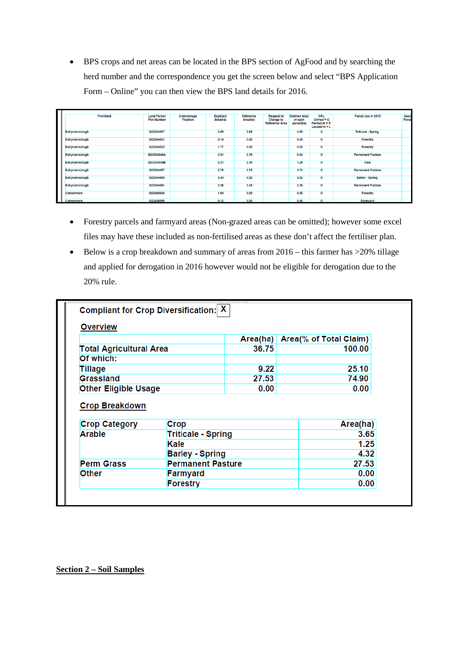• BPS crops and net areas can be located in the BPS section of AgFood and by searching the herd number and the correspondence you get the screen below and select "BPS Application Form – Online" you can then view the BPS land details for 2016.

| Townland       | <b>Land Parcel/</b><br><b>Plot Number</b> | Commonage<br>Fraction | <b>Digitised</b><br>Area(ha) | Reference<br>Area(ha) | <b>Request to</b><br><b>Change to</b><br><b>Reference Area</b> | <b>Claimed Area</b><br>of each<br>parcel(ha) | ORL<br>Owned = $O$<br>$Rented-in = R$<br>$Least-in = L$ | Parcel Use in 2015        | Aeos<br>Parce |
|----------------|-------------------------------------------|-----------------------|------------------------------|-----------------------|----------------------------------------------------------------|----------------------------------------------|---------------------------------------------------------|---------------------------|---------------|
| Ballynamockagh | G23304007                                 |                       | 3.65                         | 3.65                  |                                                                | 3.65                                         | $\circ$                                                 | <b>Triticale - Spring</b> |               |
| Ballynamockagh | G23304021                                 |                       | 3.14                         | 0.00                  |                                                                | 0.00                                         | $\circ$                                                 | Forestry                  |               |
| Ballynamockagh | G23304022                                 |                       | 1.77                         | 0.00                  |                                                                | 0.00                                         | $\circ$                                                 | Forestry                  |               |
| Ballynamockagh | G23304049A                                |                       | 2.31                         | 2.19                  |                                                                | 0.94                                         | $\circ$                                                 | <b>Permanent Pasture</b>  |               |
| Ballynamockagh | G23304049B                                |                       | 2.31                         | 2.19                  |                                                                | 1.25                                         | $\overline{\circ}$                                      | Kale                      |               |
| Ballynamockagh | G23304057                                 |                       | 3.78                         | 3.75                  |                                                                | 3.73                                         | $\circ$                                                 | <b>Permanent Pasture</b>  |               |
| Ballynamockagh | G23304060                                 |                       | 4.34                         | 4.32                  |                                                                | 4.32                                         | $\circ$                                                 | <b>Barley - Spring</b>    |               |
| Ballynamockagh | G23304061                                 |                       | 2.38                         | 2.38                  |                                                                | 2.36                                         | $\circ$                                                 | <b>Permanent Pasture</b>  |               |
| Carrowmore     | G23406043                                 |                       | 1.94                         | 0.00                  |                                                                | 0.00                                         | $\overline{\mathbf{o}}$                                 | Forestry                  |               |
| Carrowmore     | G23406055                                 |                       | 0.12                         | 0.00                  |                                                                | 0.00                                         | $\overline{\mathbf{o}}$                                 | Farmyard                  |               |

- Forestry parcels and farmyard areas (Non-grazed areas can be omitted); however some excel files may have these included as non-fertilised areas as these don't affect the fertiliser plan.
- Below is a crop breakdown and summary of areas from  $2016 -$  this farmer has  $>20\%$  tillage and applied for derogation in 2016 however would not be eligible for derogation due to the 20% rule.

| <b>Overview</b>                                                                               |                                   |       |                                 |  |
|-----------------------------------------------------------------------------------------------|-----------------------------------|-------|---------------------------------|--|
|                                                                                               |                                   |       | Area(ha) Area(% of Total Claim) |  |
| <b>Total Agricultural Area</b>                                                                |                                   | 36.75 | 100.00                          |  |
| Of which:                                                                                     |                                   |       |                                 |  |
| Tillage                                                                                       |                                   | 9.22  | 25.10                           |  |
| Grassland                                                                                     |                                   | 27.53 | 74.90                           |  |
|                                                                                               |                                   |       |                                 |  |
|                                                                                               |                                   | 0.00  | 0.00                            |  |
|                                                                                               |                                   |       |                                 |  |
| <b>Other Eligible Usage</b><br><b>Crop Breakdown</b><br><b>Crop Category</b><br><b>Arable</b> | <b>Crop</b>                       |       | Area(ha)                        |  |
|                                                                                               | <b>Triticale - Spring</b><br>Kale |       | 3.65<br>1.25                    |  |
|                                                                                               | <b>Barley - Spring</b>            |       | 4.32                            |  |
|                                                                                               | <b>Permanent Pasture</b>          |       | 27.53                           |  |
| <b>Perm Grass</b><br><b>Other</b>                                                             | Farmyard                          |       | 0.00                            |  |

**Section 2 – Soil Samples**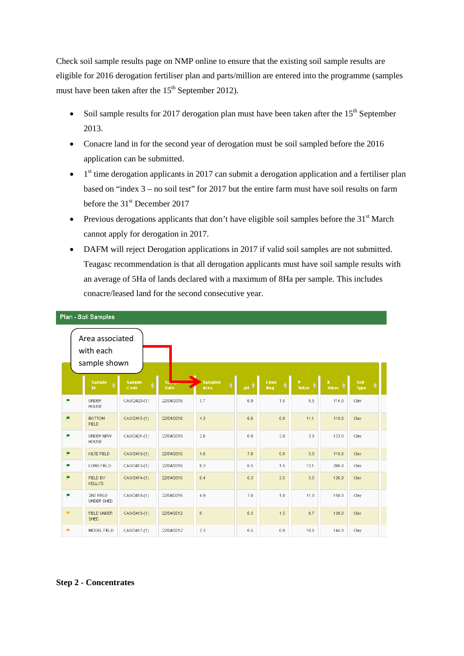Check soil sample results page on NMP online to ensure that the existing soil sample results are eligible for 2016 derogation fertiliser plan and parts/million are entered into the programme (samples must have been taken after the  $15<sup>th</sup>$  September 2012).

- Soil sample results for 2017 derogation plan must have been taken after the  $15<sup>th</sup>$  September 2013.
- Conacre land in for the second year of derogation must be soil sampled before the 2016 application can be submitted.
- $\bullet$  1<sup>st</sup> time derogation applicants in 2017 can submit a derogation application and a fertiliser plan based on "index 3 – no soil test" for 2017 but the entire farm must have soil results on farm before the 31<sup>st</sup> December 2017
- Previous derogations applicants that don't have eligible soil samples before the  $31<sup>st</sup>$  March cannot apply for derogation in 2017.
- DAFM will reject Derogation applications in 2017 if valid soil samples are not submitted. Teagasc recommendation is that all derogation applicants must have soil sample results with an average of 5Ha of lands declared with a maximum of 8Ha per sample. This includes conacre/leased land for the second consecutive year.

|                       | Area associated<br>with each<br>sample shown |                            |                   |                             |              |             |                       |                      |              |  |
|-----------------------|----------------------------------------------|----------------------------|-------------------|-----------------------------|--------------|-------------|-----------------------|----------------------|--------------|--|
|                       | <b>Sample</b><br>1d                          | <b>Sample</b><br>♦<br>Code | Sa<br><b>Date</b> | <b>Sampled</b><br>٠<br>Area | <b>OUT A</b> | Lime<br>Req | $\mathbf{P}$<br>Value | $\mathbf K$<br>Value | Soil<br>Type |  |
| p                     | <b>UNDER</b><br><b>HOUSE</b>                 | CAG/2420-(1)               | 22/04/2016        | 7.7                         | 6.9          | 1.5         | 5.5                   | 114.0                | Clay         |  |
| <b>IN</b>             | <b>BOTTOM</b><br><b>FIELD</b>                | CAG/2415-(1)               | 22/04/2016        | 4.3                         | 6.8          | 0.0         | 11.1                  | 110.0                | Clay         |  |
| p.                    | <b>UNDER NEW</b><br><b>HOUSE</b>             | CAG/2421-(1)               | 22/04/2016        | 2.6                         | 6.8          | 2.0         | 3.0                   | 123.0                | Clay         |  |
| <b>PM</b>             | KILTE FIELD                                  | CAG/2419-(1)               | 22/04/2016        | 1.6                         | 7.0          | 0.0         | 3.0                   | 110.0                | Clay         |  |
| p                     | LONG FIELD                                   | CAG/2413-(1)               | 22/04/2016        | 6.2                         | 6.5          | 1.5         | 13.1                  | 266.0                | Clay         |  |
| <b>PM</b>             | FIELD BY<br><b>KELLYS</b>                    | CAG/2414-(1)               | 22/04/2016        | 6.4                         | 6.3          | 3.5         | 3.5                   | 126.0                | Clay         |  |
| p.                    | 2ND FIELD<br><b>UNDER SHED</b>               | CAG/2418-(1)               | 22/04/2016        | 4.9                         | 7.0          | 1.0         | 11.0                  | 150.0                | Clay         |  |
| $\vert \bullet \vert$ | <b>FIELD UNDER</b><br><b>SHED</b>            | CAG/2416-(1)               | 22/04/2012        | 8                           | 6.5          | 1.5         | 6.7                   | 138.0                | Clay         |  |
| <b>IN</b>             | MIDDEL FIELD                                 | CAG/2417-(1)               | 22/04/2012        | 7.3                         | 6.5          | 0.0         | 10.5                  | 144.0                | Clay         |  |

#### Plan - Soil Samples

#### **Step 2 - Concentrates**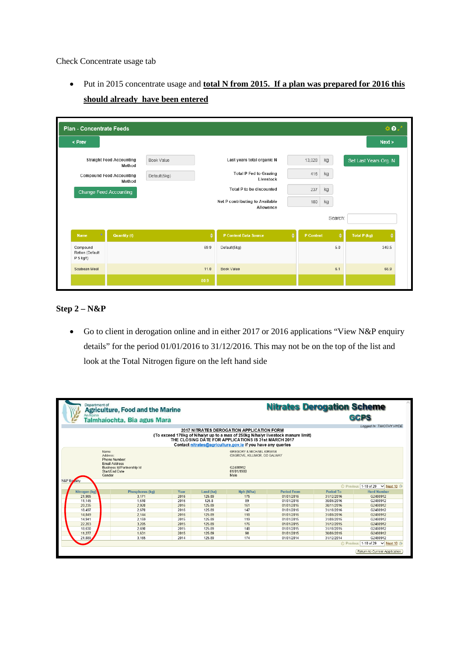Check Concentrate usage tab

• Put in 2015 concentrate usage and **total N from 2015. If a plan was prepared for 2016 this should already have been entered**

| < Prev                      |                                           |                   |      |                                              |           |         | Next >                 |
|-----------------------------|-------------------------------------------|-------------------|------|----------------------------------------------|-----------|---------|------------------------|
|                             | <b>Straight Feed Accounting</b><br>Method | <b>Book Value</b> |      | Last years total organic N                   | 13,028    | kg      | Set Last Years Org. N  |
|                             | <b>Compound Feed Accounting</b><br>Method | Default(5kg)      |      | <b>Total P Fed to Grazing</b><br>Livestock   | 416       | kg      |                        |
| Change Feed Accounting      |                                           |                   |      | <b>Total P to be discounted</b>              | 237       | kg      |                        |
|                             |                                           |                   |      | Net P contributing to Available<br>Allowance | 180       | kg      |                        |
|                             |                                           |                   |      |                                              |           | Search: |                        |
| Δ<br><b>Name</b>            | <b>Quantity (t)</b>                       |                   | ٠    | P Content Data Source                        | P Content |         | ÷<br>Total P (kg)<br>۵ |
| Compound<br>Ration (Default |                                           |                   | 69.9 | Default(5kg)                                 |           | 5.0     | 349.5                  |
| P 5 kg/t)                   |                                           |                   |      |                                              |           |         |                        |

# **Step 2 – N&P**

• Go to client in derogation online and in either 2017 or 2016 applications "View N&P enquiry" details" for the period 01/01/2016 to 31/12/2016. This may not be on the top of the list and look at the Total Nitrogen figure on the left hand side

| Department of<br>An Roinn                 | <b>Agriculture, Food and the Marine</b><br>Talmhaíochta, Bia agus Mara               |      |           |                                                                                                                                                                                                                                                             |                    | <b>Nitrates Derogation Scheme</b> | Loaged In: TIMOTHY HYDE           |
|-------------------------------------------|--------------------------------------------------------------------------------------|------|-----------|-------------------------------------------------------------------------------------------------------------------------------------------------------------------------------------------------------------------------------------------------------------|--------------------|-----------------------------------|-----------------------------------|
|                                           |                                                                                      |      |           | <b>2017 NITRATES DEROGATION APPLICATION FORM</b><br>(To exceed 170kg of N/ha/yr up to a max of 250kg N/ha/yr livestock manure limit)<br>THE CLOSING DATE FOR APPLICATIONS IS 31st MARCH 2017<br>Contact nitrates@agriculture.gov.ie if you have any queries |                    |                                   |                                   |
| Name:<br>Address:<br>Gender<br>N&P Enviro | Phone Number<br><b>Email Address</b><br>Business Id/Partnership Id<br>Start/End Date |      |           | <b>GREGORY &amp; MICHAEL KIRWAN</b><br>OXGROVE, KILLIMOR, CO GALWAY<br>G2480912<br>01/01/1980<br>Male                                                                                                                                                       |                    |                                   |                                   |
|                                           |                                                                                      |      |           |                                                                                                                                                                                                                                                             |                    |                                   | © Previous 1-10 of 29 V Next 10 → |
| Nitrogen (kg)                             | Phosphorus (kg)                                                                      | Year | Land (ha) | Nph (N/ha)                                                                                                                                                                                                                                                  | <b>Period From</b> | <b>Period To</b>                  | <b>Herd Number</b>                |
| 21,985                                    | 3.171                                                                                | 2016 | 125.89    | 175                                                                                                                                                                                                                                                         | 01/01/2016         | 31/12/2016                        | G2480912                          |
| 11,145                                    | 1.610                                                                                | 2016 | 125.8     | 89                                                                                                                                                                                                                                                          | 01/01/2016         | 30/06/2016                        | G2480912                          |
| 20,235                                    | 2,920                                                                                | 2016 | 125.89    | 161                                                                                                                                                                                                                                                         | 01/01/2016         | 30/11/2016                        | G2480912                          |
| 18.497                                    | 2.670                                                                                | 2016 | 125 89    | 147                                                                                                                                                                                                                                                         | 01/01/2016         | 31/10/2016                        | G2480912                          |
| 14,849                                    | 2.144                                                                                | 2016 | 125.89    | 118                                                                                                                                                                                                                                                         | 01/01/2016         | 31/08/2016                        | G2480912                          |
| 14.941                                    | 2.159                                                                                | 2015 | 125.89    | 119                                                                                                                                                                                                                                                         | 01/01/2015         | 31/08/2015                        | G2480912                          |
| 22,203                                    | 3.205                                                                                | 2015 | 125.89    | 176                                                                                                                                                                                                                                                         | 01/01/2015         | 31/12/2015                        | G2480912                          |
| 18.630                                    | 2.690                                                                                | 2015 | 125.89    | 148                                                                                                                                                                                                                                                         | 01/01/2015         | 31/10/2015                        | G2480912                          |
| 11,277                                    | 1.631                                                                                | 2015 | 125.89    | 90                                                                                                                                                                                                                                                          | 01/01/2015         | 30/06/2015                        | G2480912                          |
| 21,889                                    | 3.165                                                                                | 2014 | 125.89    | 174                                                                                                                                                                                                                                                         | 01/01/2014         | 31/12/2014                        | G2480912                          |
|                                           |                                                                                      |      |           |                                                                                                                                                                                                                                                             |                    |                                   | © Previous 1-10 of 29 V Next 10 → |
|                                           |                                                                                      |      |           |                                                                                                                                                                                                                                                             |                    |                                   | Return to Current Application     |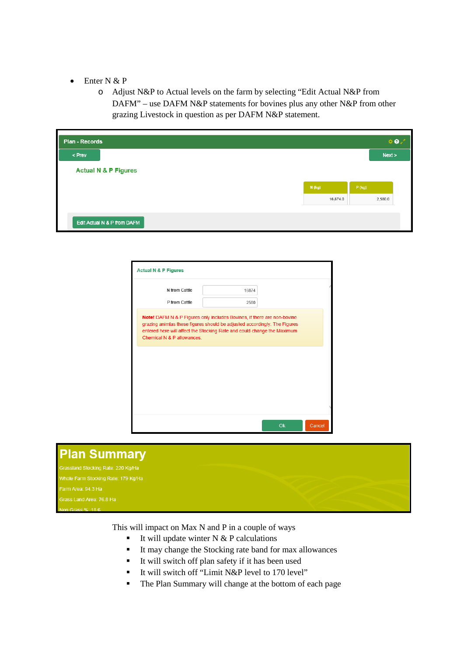- Enter N & P
	- o Adjust N&P to Actual levels on the farm by selecting "Edit Actual N&P from DAFM" – use DAFM N&P statements for bovines plus any other N&P from other grazing Livestock in question as per DAFM N&P statement.

| <b>Plan - Records</b> |                                 |          |          | $\Phi$  |
|-----------------------|---------------------------------|----------|----------|---------|
|                       |                                 |          |          | Next >  |
|                       | <b>Actual N &amp; P Figures</b> |          |          |         |
|                       |                                 | $N$ (kg) | $P$ (kg) |         |
|                       |                                 | 16,874.0 |          | 2,580.0 |

| N from Cattle                                                                                                                                                                                                                                                 | 16874 |  |
|---------------------------------------------------------------------------------------------------------------------------------------------------------------------------------------------------------------------------------------------------------------|-------|--|
| P from Cattle                                                                                                                                                                                                                                                 | 2580  |  |
| Note! DAFM N & P Figures only includes Bovines, if there are non-bovine<br>grazing animlas these figures should be adjusted accordingly. The Figures<br>entered here will affect the Stocking Rate and could change the Maximum<br>Chemical N & P allowances. |       |  |
|                                                                                                                                                                                                                                                               |       |  |
|                                                                                                                                                                                                                                                               |       |  |
|                                                                                                                                                                                                                                                               |       |  |
|                                                                                                                                                                                                                                                               |       |  |



This will impact on Max N and P in a couple of ways

- It will update winter  $N & P$  calculations
- It may change the Stocking rate band for max allowances
- It will switch off plan safety if it has been used
- It will switch off "Limit N&P level to 170 level"
- The Plan Summary will change at the bottom of each page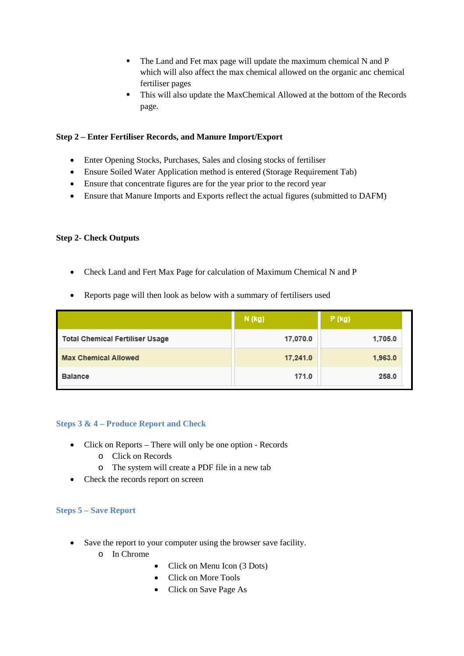- The Land and Fet max page will update the maximum chemical N and P which will also affect the max chemical allowed on the organic anc chemical fertiliser pages
- This will also update the MaxChemical Allowed at the bottom of the Records page.

# **Step 2 – Enter Fertiliser Records, and Manure Import/Export**

- Enter Opening Stocks, Purchases, Sales and closing stocks of fertiliser
- Ensure Soiled Water Application method is entered (Storage Requirement Tab)
- Ensure that concentrate figures are for the year prior to the record year
- Ensure that Manure Imports and Exports reflect the actual figures (submitted to DAFM)

### **Step 2- Check Outputs**

- Check Land and Fert Max Page for calculation of Maximum Chemical N and P
- Reports page will then look as below with a summary of fertilisers used

|                                 | N (kg)   | $P$ (kg) |
|---------------------------------|----------|----------|
| Total Chemical Fertiliser Usage | 17,070.0 | 1,705.0  |
| <b>Max Chemical Allowed</b>     | 17,241.0 | 1,963.0  |
| <b>Balance</b>                  | 171.0    | 258.0    |

### <span id="page-10-0"></span>**Steps 3 & 4 – Produce Report and Check**

- Click on Reports There will only be one option Records
	- o Click on Records
	- o The system will create a PDF file in a new tab
- Check the records report on screen

## <span id="page-10-1"></span>**Steps 5 – Save Report**

- Save the report to your computer using the browser save facility.
	- o In Chrome
- Click on Menu Icon (3 Dots)
- Click on More Tools
- Click on Save Page As